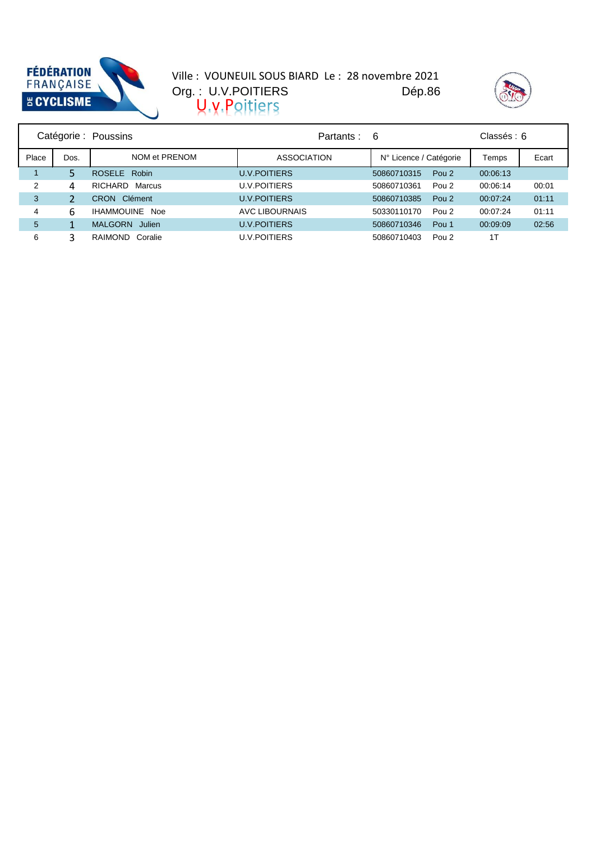

#### Dép.86 Org. : U.V.POITIERS Ville : VOUNEUIL SOUS BIARD Le : 28 novembre 2021  $U, V, P$



| Catégorie : Poussins |      |                       | Partants :          | -6                     | Classés : 6      |          |       |
|----------------------|------|-----------------------|---------------------|------------------------|------------------|----------|-------|
| Place                | Dos. | NOM et PRENOM         | <b>ASSOCIATION</b>  | N° Licence / Catégorie |                  | Temps    | Ecart |
|                      |      | ROSELE Robin          | <b>U.V.POITIERS</b> | 50860710315            | Pou <sub>2</sub> | 00:06:13 |       |
| 2                    | 4    | RICHARD Marcus        | <b>U.V.POITIERS</b> | 50860710361            | Pou <sub>2</sub> | 00:06:14 | 00:01 |
| 3                    |      | <b>CRON</b> Clément   | <b>U.V.POITIERS</b> | 50860710385            | Pou <sub>2</sub> | 00:07:24 | 01:11 |
| 4                    | 6    | <b>IHAMMOUINE Noe</b> | AVC LIBOURNAIS      | 50330110170            | Pou <sub>2</sub> | 00:07:24 | 01:11 |
| 5                    |      | MALGORN Julien        | <b>U.V.POITIERS</b> | 50860710346            | Pou <sub>1</sub> | 00:09:09 | 02:56 |
| 6                    |      | RAIMOND Coralie       | <b>U.V.POITIERS</b> | 50860710403            | Pou <sub>2</sub> | 1T       |       |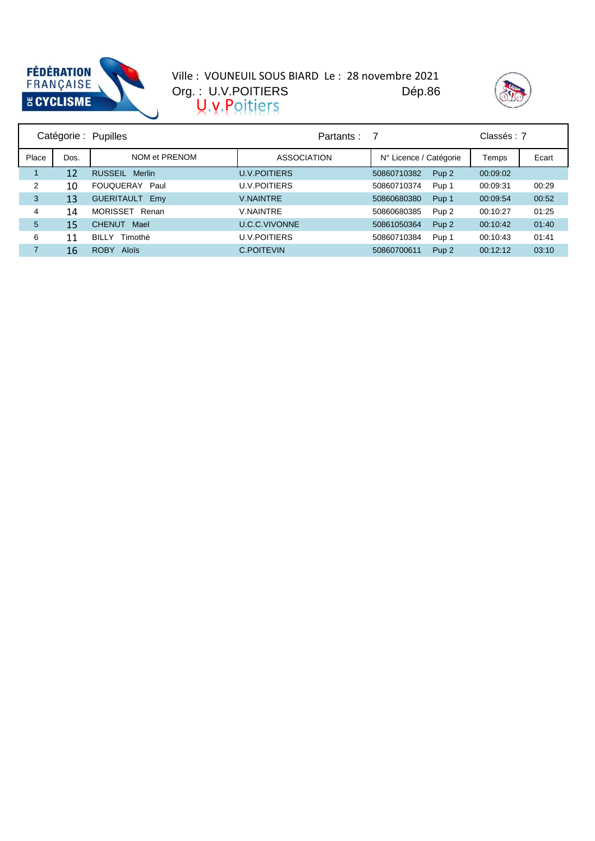

#### Dép.86 Org. : U.V.POITIERS Ville : VOUNEUIL SOUS BIARD Le : 28 novembre 2021  $U, V, P$



| Catégorie : Pupilles |                   |                             | Partants :           | -7                     |                  | Classés: 7 |       |
|----------------------|-------------------|-----------------------------|----------------------|------------------------|------------------|------------|-------|
| Place                | Dos.              | NOM et PRENOM               | <b>ASSOCIATION</b>   | N° Licence / Catégorie |                  | Temps      | Ecart |
|                      | $12 \overline{ }$ | RUSSEIL Merlin              | <b>U.V.POITIERS</b>  | 50860710382            | Pup <sub>2</sub> | 00:09:02   |       |
| 2                    | 10                | FOUQUERAY Paul              | <b>U.V.POITIERS</b>  | 50860710374            | Pup 1            | 00:09:31   | 00:29 |
| 3                    | 13                | <b>GUERITAULT Emy</b>       | <b>V.NAINTRE</b>     | 50860680380            | Pup 1            | 00:09:54   | 00:52 |
| 4                    | 14                | MORISSET<br>Renan           | <b>V.NAINTRE</b>     | 50860680385            | Pup <sub>2</sub> | 00:10:27   | 01:25 |
| 5                    | 15                | <b>CHENUT</b><br>Mael       | <b>U.C.C.VIVONNE</b> | 50861050364            | Pup <sub>2</sub> | 00:10:42   | 01:40 |
| 6                    | 11                | BILLY Timothé               | <b>U.V.POITIERS</b>  | 50860710384            | Pup 1            | 00:10:43   | 01:41 |
|                      | 16                | <b>ROBY</b><br><b>Alois</b> | <b>C.POITEVIN</b>    | 50860700611            | Pup <sub>2</sub> | 00:12:12   | 03:10 |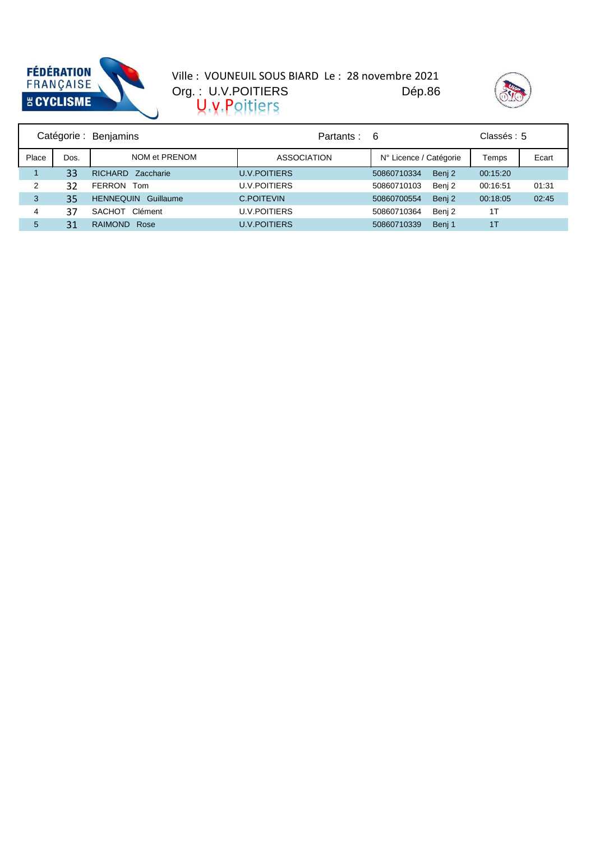

#### Dép.86 Org. : U.V.POITIERS Ville : VOUNEUIL SOUS BIARD Le : 28 novembre 2021  $U, V, P$



| Catégorie : Benjamins |      |                               | Partants :          | -6                     |        | Classés: 5     |       |
|-----------------------|------|-------------------------------|---------------------|------------------------|--------|----------------|-------|
| Place                 | Dos. | NOM et PRENOM                 | <b>ASSOCIATION</b>  | N° Licence / Catégorie |        | Temps          | Ecart |
|                       | 33   | <b>RICHARD</b><br>Zaccharie   | <b>U.V.POITIERS</b> | 50860710334            | Benj 2 | 00:15:20       |       |
| 2                     | 32   | <b>FERRON</b><br>Tom          | <b>U.V.POITIERS</b> | 50860710103            | Benj 2 | 00:16:51       | 01:31 |
| 3                     | 35   | <b>HENNEQUIN</b><br>Guillaume | C.POITEVIN          | 50860700554            | Benj 2 | 00:18:05       | 02:45 |
| 4                     | 37   | Clément<br>SACHOT             | <b>U.V.POITIERS</b> | 50860710364            | Benj 2 | 1T             |       |
| 5                     | 31   | <b>RAIMOND</b><br>Rose        | <b>U.V.POITIERS</b> | 50860710339            | Beni 1 | 1 <sub>T</sub> |       |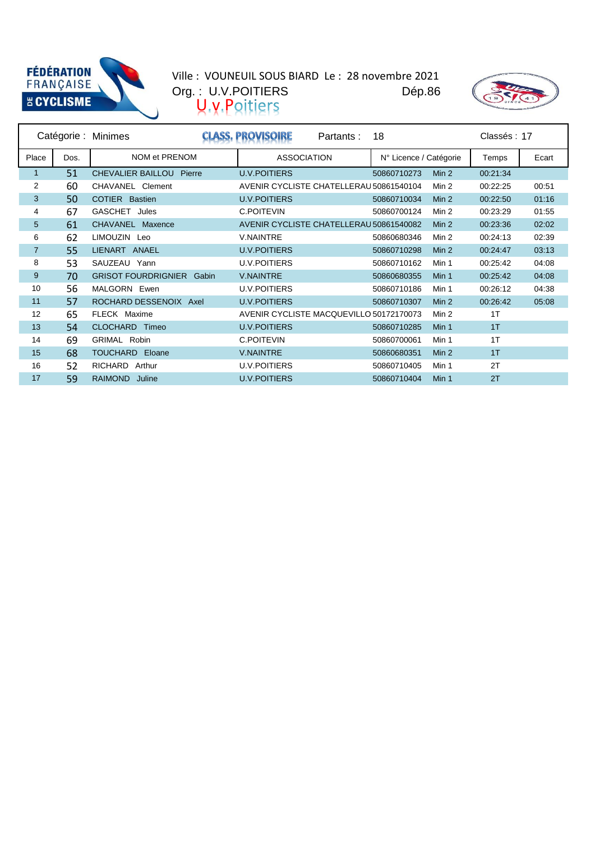



|                |      | Catégorie : Minimes              | Partants:                               | 18                     |                  | Classés: 17 |       |
|----------------|------|----------------------------------|-----------------------------------------|------------------------|------------------|-------------|-------|
| Place          | Dos. | NOM et PRENOM                    | <b>ASSOCIATION</b>                      | N° Licence / Catégorie |                  | Temps       | Ecart |
| 1              | 51   | <b>CHEVALIER BAILLOU Pierre</b>  | <b>U.V.POITIERS</b>                     | 50860710273            | Min 2            | 00:21:34    |       |
| 2              | 60   | CHAVANEL Clement                 | AVENIR CYCLISTE CHATELLERAU 50861540104 |                        | Min 2            | 00:22:25    | 00:51 |
| 3              | 50   | <b>COTIER Bastien</b>            | <b>U.V.POITIERS</b>                     | 50860710034            | Min <sub>2</sub> | 00:22:50    | 01:16 |
| 4              | 67   | GASCHET<br>Jules                 | <b>C.POITEVIN</b>                       | 50860700124            | Min 2            | 00:23:29    | 01:55 |
| 5              | 61   | <b>CHAVANEL</b><br>Maxence       | AVENIR CYCLISTE CHATELLERAU 50861540082 |                        | Min <sub>2</sub> | 00:23:36    | 02:02 |
| 6              | 62   | LIMOUZIN Leo                     | <b>V.NAINTRE</b>                        | 50860680346            | Min 2            | 00:24:13    | 02:39 |
| $\overline{7}$ | 55   | LIENART ANAEL                    | <b>U.V.POITIERS</b>                     | 50860710298            | Min <sub>2</sub> | 00:24:47    | 03:13 |
| 8              | 53   | SAUZEAU Yann                     | <b>U.V.POITIERS</b>                     | 50860710162            | Min 1            | 00:25:42    | 04:08 |
| 9              | 70   | <b>GRISOT FOURDRIGNIER Gabin</b> | <b>V.NAINTRE</b>                        | 50860680355            | Min 1            | 00:25:42    | 04:08 |
| 10             | 56   | MALGORN Ewen                     | <b>U.V.POITIERS</b>                     | 50860710186            | Min 1            | 00:26:12    | 04:38 |
| 11             | 57   | ROCHARD DESSENOIX Axel           | <b>U.V.POITIERS</b>                     | 50860710307            | Min <sub>2</sub> | 00:26:42    | 05:08 |
| 12             | 65   | FLECK Maxime                     | AVENIR CYCLISTE MACQUEVILLO 50172170073 |                        | Min 2            | 1T          |       |
| 13             | 54   | CLOCHARD Timeo                   | <b>U.V.POITIERS</b>                     | 50860710285            | Min 1            | 1T          |       |
| 14             | 69   | GRIMAL<br>Robin                  | <b>C.POITEVIN</b>                       | 50860700061            | Min 1            | 1T          |       |
| 15             | 68   | <b>TOUCHARD</b><br>Eloane        | <b>V.NAINTRE</b>                        | 50860680351            | Min <sub>2</sub> | 1T          |       |
| 16             | 52   | RICHARD<br>Arthur                | <b>U.V.POITIERS</b>                     | 50860710405            | Min 1            | 2T          |       |
| 17             | 59   | <b>RAIMOND</b><br>Juline         | <b>U.V.POITIERS</b>                     | 50860710404            | Min 1            | 2T          |       |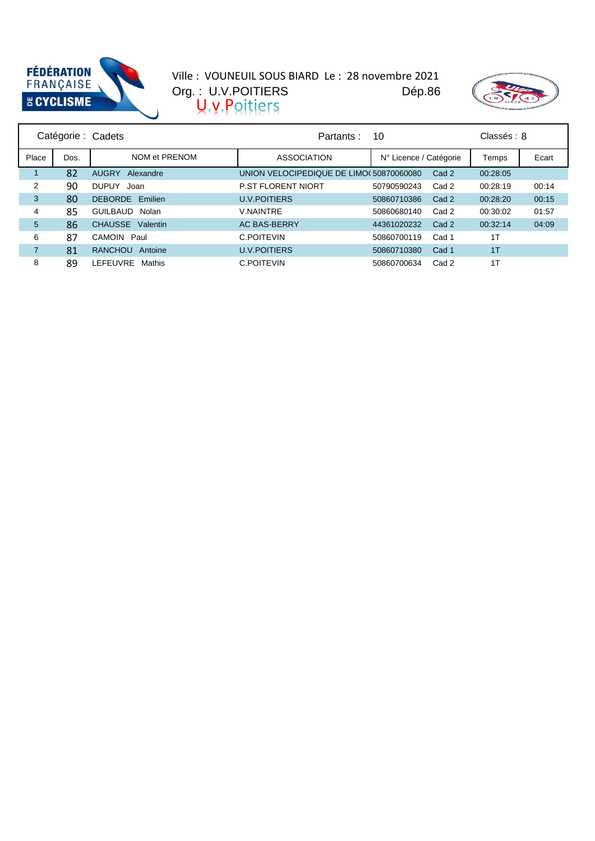



| Catégorie : Cadets |      |                           | Partants:                               | 10                     |       | Classés: 8 |       |
|--------------------|------|---------------------------|-----------------------------------------|------------------------|-------|------------|-------|
| Place              | Dos. | NOM et PRENOM             | <b>ASSOCIATION</b>                      | N° Licence / Catégorie |       | Temps      | Ecart |
|                    | 82   | <b>AUGRY</b><br>Alexandre | UNION VELOCIPEDIQUE DE LIMO(50870060080 |                        | Cad 2 | 00:28:05   |       |
| 2                  | 90   | <b>DUPUY</b><br>Joan      | <b>P.ST FLORENT NIORT</b>               | 50790590243            | Cad 2 | 00:28:19   | 00:14 |
| 3                  | 80   | <b>DEBORDE</b> Emilien    | <b>U.V.POITIERS</b>                     | 50860710386            | Cad 2 | 00:28:20   | 00:15 |
| 4                  | 85   | GUILBAUD<br>Nolan         | <b>V.NAINTRE</b>                        | 50860680140            | Cad 2 | 00:30:02   | 01:57 |
| 5                  | 86   | CHAUSSE Valentin          | <b>AC BAS-BERRY</b>                     | 44361020232            | Cad 2 | 00:32:14   | 04:09 |
| 6                  | 87   | CAMOIN Paul               | C.POITEVIN                              | 50860700119            | Cad 1 | 1T         |       |
| 7                  | 81   | <b>RANCHOU</b><br>Antoine | <b>U.V.POITIERS</b>                     | 50860710380            | Cad 1 | 1T         |       |
| 8                  | 89   | LEFEUVRE<br>Mathis        | C.POITEVIN                              | 50860700634            | Cad 2 | 1T         |       |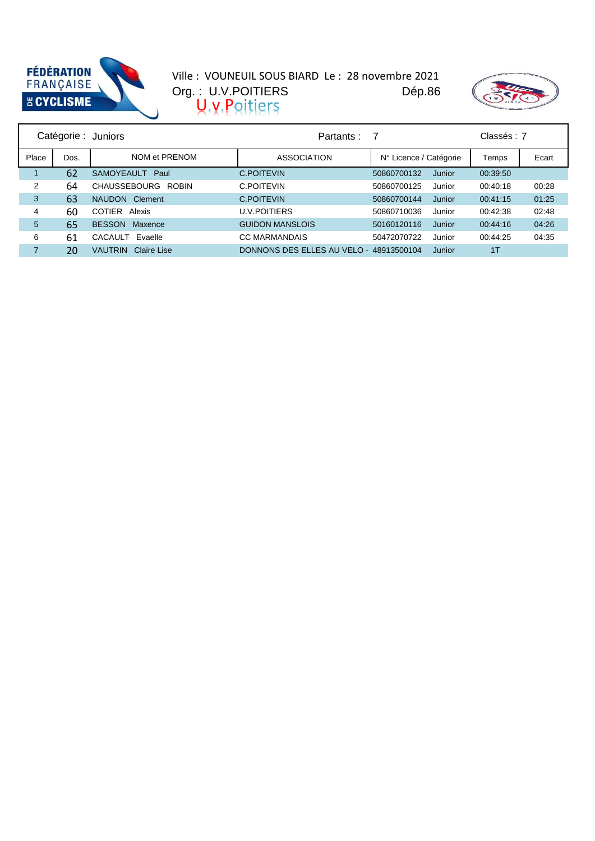



|                |      | Catégorie : Juniors           | Partants :                              |                        |        | Classés: 7 |       |
|----------------|------|-------------------------------|-----------------------------------------|------------------------|--------|------------|-------|
| Place          | Dos. | NOM et PRENOM                 | <b>ASSOCIATION</b>                      | N° Licence / Catégorie |        | Temps      | Ecart |
|                | 62   | SAMOYEAULT Paul               | C.POITEVIN                              | 50860700132            | Junior | 00:39:50   |       |
| $\overline{2}$ | 64   | CHAUSSEBOURG ROBIN            | C.POITEVIN                              | 50860700125            | Junior | 00:40:18   | 00:28 |
| 3              | 63   | Clement<br><b>NAUDON</b>      | C.POITEVIN                              | 50860700144            | Junior | 00:41:15   | 01:25 |
| 4              | 60   | <b>COTIER</b><br>Alexis       | <b>U.V.POITIERS</b>                     | 50860710036            | Junior | 00:42:38   | 02:48 |
| 5              | 65   | <b>BESSON</b><br>Maxence      | <b>GUIDON MANSLOIS</b>                  | 50160120116            | Junior | 00:44:16   | 04:26 |
| 6              | 61   | CACAULT Evaelle               | <b>CC MARMANDAIS</b>                    | 50472070722            | Junior | 00:44:25   | 04:35 |
| 7              | 20   | Claire Lise<br><b>VAUTRIN</b> | DONNONS DES ELLES AU VELO - 48913500104 |                        | Junior | 1T         |       |